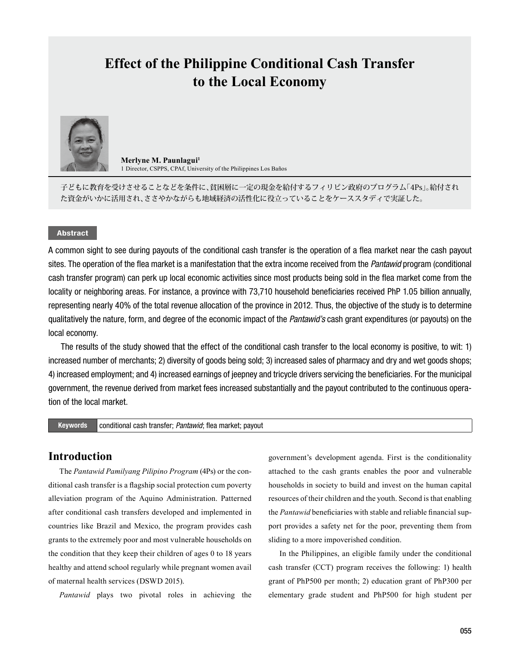# **Effect of the Philippine Conditional Cash Transfer to the Local Economy**



**Merlyne M. Paunlagui<sup>1</sup>** 1 Director, CSPPS, CPAf, University of the Philippines Los Baños

子どもに教育を受けさせることなどを条件に、貧困層に一定の現金を給付するフィリピン政府のプログラム「4Ps」。給付され た資金がいかに活用され、ささやかながらも地域経済の活性化に役立っていることをケーススタディで実証した。

### Abstract

A common sight to see during payouts of the conditional cash transfer is the operation of a flea market near the cash payout sites. The operation of the flea market is a manifestation that the extra income received from the *Pantawid* program (conditional cash transfer program) can perk up local economic activities since most products being sold in the flea market come from the locality or neighboring areas. For instance, a province with 73,710 household beneficiaries received PhP 1.05 billion annually, representing nearly 40% of the total revenue allocation of the province in 2012. Thus, the objective of the study is to determine qualitatively the nature, form, and degree of the economic impact of the *Pantawid's* cash grant expenditures (or payouts) on the local economy.

The results of the study showed that the effect of the conditional cash transfer to the local economy is positive, to wit: 1) increased number of merchants; 2) diversity of goods being sold; 3) increased sales of pharmacy and dry and wet goods shops; 4) increased employment; and 4) increased earnings of jeepney and tricycle drivers servicing the beneficiaries. For the municipal government, the revenue derived from market fees increased substantially and the payout contributed to the continuous operation of the local market.

#### Keywords conditional cash transfer; *Pantawid*; flea market; payout

# **Introduction**

The *Pantawid Pamilyang Pilipino Program* (4Ps) or the conditional cash transfer is a flagship social protection cum poverty alleviation program of the Aquino Administration. Patterned after conditional cash transfers developed and implemented in countries like Brazil and Mexico, the program provides cash grants to the extremely poor and most vulnerable households on the condition that they keep their children of ages 0 to 18 years healthy and attend school regularly while pregnant women avail of maternal health services (DSWD 2015).

*Pantawid* plays two pivotal roles in achieving the

government's development agenda. First is the conditionality attached to the cash grants enables the poor and vulnerable households in society to build and invest on the human capital resources of their children and the youth. Second is that enabling the *Pantawid* beneficiaries with stable and reliable financial support provides a safety net for the poor, preventing them from sliding to a more impoverished condition.

In the Philippines, an eligible family under the conditional cash transfer (CCT) program receives the following: 1) health grant of PhP500 per month; 2) education grant of PhP300 per elementary grade student and PhP500 for high student per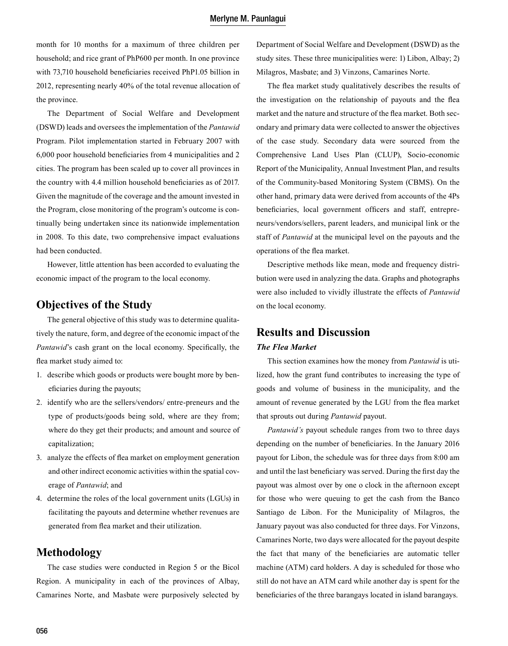month for 10 months for a maximum of three children per household; and rice grant of PhP600 per month. In one province with 73,710 household beneficiaries received PhP1.05 billion in 2012, representing nearly 40% of the total revenue allocation of the province.

The Department of Social Welfare and Development (DSWD) leads and oversees the implementation of the *Pantawid*  Program. Pilot implementation started in February 2007 with 6,000 poor household beneficiaries from 4 municipalities and 2 cities. The program has been scaled up to cover all provinces in the country with 4.4 million household beneficiaries as of 2017. Given the magnitude of the coverage and the amount invested in the Program, close monitoring of the program's outcome is continually being undertaken since its nationwide implementation in 2008. To this date, two comprehensive impact evaluations had been conducted.

However, little attention has been accorded to evaluating the economic impact of the program to the local economy.

# **Objectives of the Study**

The general objective of this study was to determine qualitatively the nature, form, and degree of the economic impact of the *Pantawid*'s cash grant on the local economy. Specifically, the flea market study aimed to:

- 1. describe which goods or products were bought more by beneficiaries during the payouts;
- 2. identify who are the sellers/vendors/ entre-preneurs and the type of products/goods being sold, where are they from; where do they get their products; and amount and source of capitalization;
- 3. analyze the effects of flea market on employment generation and other indirect economic activities within the spatial coverage of *Pantawid*; and
- 4. determine the roles of the local government units (LGUs) in facilitating the payouts and determine whether revenues are generated from flea market and their utilization.

# **Methodology**

The case studies were conducted in Region 5 or the Bicol Region. A municipality in each of the provinces of Albay, Camarines Norte, and Masbate were purposively selected by Department of Social Welfare and Development (DSWD) as the study sites. These three municipalities were: 1) Libon, Albay; 2) Milagros, Masbate; and 3) Vinzons, Camarines Norte.

The flea market study qualitatively describes the results of the investigation on the relationship of payouts and the flea market and the nature and structure of the flea market. Both secondary and primary data were collected to answer the objectives of the case study. Secondary data were sourced from the Comprehensive Land Uses Plan (CLUP), Socio-economic Report of the Municipality, Annual Investment Plan, and results of the Community-based Monitoring System (CBMS). On the other hand, primary data were derived from accounts of the 4Ps beneficiaries, local government officers and staff, entrepreneurs/vendors/sellers, parent leaders, and municipal link or the staff of *Pantawid* at the municipal level on the payouts and the operations of the flea market.

Descriptive methods like mean, mode and frequency distribution were used in analyzing the data. Graphs and photographs were also included to vividly illustrate the effects of *Pantawid*  on the local economy.

# **Results and Discussion**

## *The Flea Market*

This section examines how the money from *Pantawid* is utilized, how the grant fund contributes to increasing the type of goods and volume of business in the municipality, and the amount of revenue generated by the LGU from the flea market that sprouts out during *Pantawid* payout.

*Pantawid's* payout schedule ranges from two to three days depending on the number of beneficiaries. In the January 2016 payout for Libon, the schedule was for three days from 8:00 am and until the last beneficiary was served. During the first day the payout was almost over by one o clock in the afternoon except for those who were queuing to get the cash from the Banco Santiago de Libon. For the Municipality of Milagros, the January payout was also conducted for three days. For Vinzons, Camarines Norte, two days were allocated for the payout despite the fact that many of the beneficiaries are automatic teller machine (ATM) card holders. A day is scheduled for those who still do not have an ATM card while another day is spent for the beneficiaries of the three barangays located in island barangays.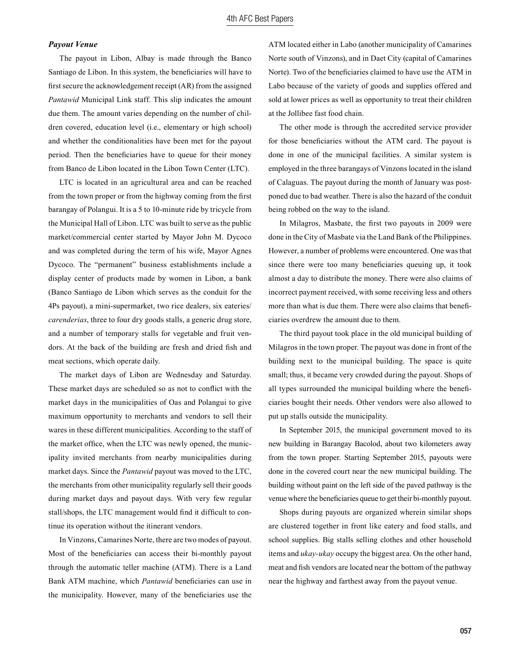#### *Payout Venue*

The payout in Libon, Albay is made through the Banco Santiago de Libon. In this system, the beneficiaries will have to first secure the acknowledgement receipt (AR) from the assigned *Pantawid* Municipal Link staff. This slip indicates the amount due them. The amount varies depending on the number of children covered, education level (i.e., elementary or high school) and whether the conditionalities have been met for the payout period. Then the beneficiaries have to queue for their money from Banco de Libon located in the Libon Town Center (LTC).

LTC is located in an agricultural area and can be reached from the town proper or from the highway coming from the first barangay of Polangui. It is a 5 to 10-minute ride by tricycle from the Municipal Hall of Libon. LTC was built to serve as the public market/commercial center started by Mayor John M. Dycoco and was completed during the term of his wife, Mayor Agnes Dycoco. The "permanent" business establishments include a display center of products made by women in Libon, a bank (Banco Santiago de Libon which serves as the conduit for the 4Ps payout), a mini-supermarket, two rice dealers, six eateries/ *carenderias*, three to four dry goods stalls, a generic drug store, and a number of temporary stalls for vegetable and fruit vendors. At the back of the building are fresh and dried fish and meat sections, which operate daily.

The market days of Libon are Wednesday and Saturday. These market days are scheduled so as not to conflict with the market days in the municipalities of Oas and Polangui to give maximum opportunity to merchants and vendors to sell their wares in these different municipalities. According to the staff of the market office, when the LTC was newly opened, the municipality invited merchants from nearby municipalities during market days. Since the *Pantawid* payout was moved to the LTC, the merchants from other municipality regularly sell their goods during market days and payout days. With very few regular stall/shops, the LTC management would find it difficult to continue its operation without the itinerant vendors.

In Vinzons, Camarines Norte, there are two modes of payout. Most of the beneficiaries can access their bi-monthly payout through the automatic teller machine (ATM). There is a Land Bank ATM machine, which *Pantawid* beneficiaries can use in the municipality. However, many of the beneficiaries use the ATM located either in Labo (another municipality of Camarines Norte south of Vinzons), and in Daet City (capital of Camarines Norte). Two of the beneficiaries claimed to have use the ATM in Labo because of the variety of goods and supplies offered and sold at lower prices as well as opportunity to treat their children at the Jollibee fast food chain.

The other mode is through the accredited service provider for those beneficiaries without the ATM card. The payout is done in one of the municipal facilities. A similar system is employed in the three barangays of Vinzons located in the island of Calaguas. The payout during the month of January was postponed due to bad weather. There is also the hazard of the conduit being robbed on the way to the island.

In Milagros, Masbate, the first two payouts in 2009 were done in the City of Masbate via the Land Bank of the Philippines. However, a number of problems were encountered. One was that since there were too many beneficiaries queuing up, it took almost a day to distribute the money. There were also claims of incorrect payment received, with some receiving less and others more than what is due them. There were also claims that beneficiaries overdrew the amount due to them.

The third payout took place in the old municipal building of Milagros in the town proper. The payout was done in front of the building next to the municipal building. The space is quite small; thus, it became very crowded during the payout. Shops of all types surrounded the municipal building where the beneficiaries bought their needs. Other vendors were also allowed to put up stalls outside the municipality.

In September 2015, the municipal government moved to its new building in Barangay Bacolod, about two kilometers away from the town proper. Starting September 2015, payouts were done in the covered court near the new municipal building. The building without paint on the left side of the paved pathway is the venue where the beneficiaries queue to get their bi-monthly payout.

Shops during payouts are organized wherein similar shops are clustered together in front like eatery and food stalls, and school supplies. Big stalls selling clothes and other household items and *ukay-ukay* occupy the biggest area. On the other hand, meat and fish vendors are located near the bottom of the pathway near the highway and farthest away from the payout venue.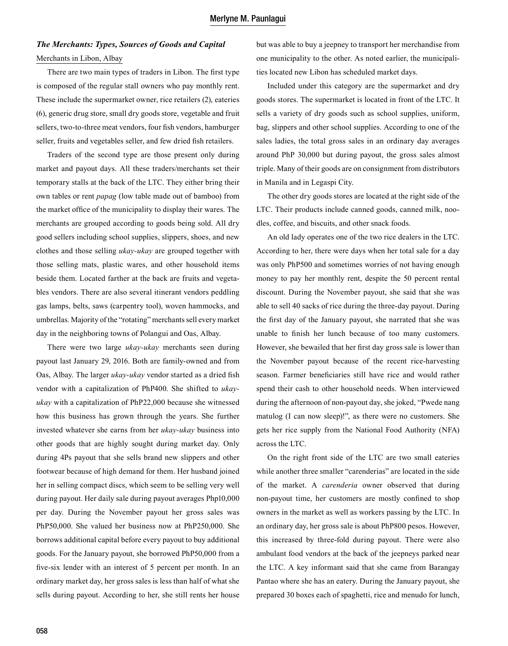# *The Merchants: Types, Sources of Goods and Capital* Merchants in Libon, Albay

There are two main types of traders in Libon. The first type is composed of the regular stall owners who pay monthly rent. These include the supermarket owner, rice retailers (2), eateries (6), generic drug store, small dry goods store, vegetable and fruit sellers, two-to-three meat vendors, four fish vendors, hamburger seller, fruits and vegetables seller, and few dried fish retailers.

Traders of the second type are those present only during market and payout days. All these traders/merchants set their temporary stalls at the back of the LTC. They either bring their own tables or rent *papag* (low table made out of bamboo) from the market office of the municipality to display their wares. The merchants are grouped according to goods being sold. All dry good sellers including school supplies, slippers, shoes, and new clothes and those selling *ukay-ukay* are grouped together with those selling mats, plastic wares, and other household items beside them. Located farther at the back are fruits and vegetables vendors. There are also several itinerant vendors peddling gas lamps, belts, saws (carpentry tool), woven hammocks, and umbrellas. Majority of the "rotating" merchants sell every market day in the neighboring towns of Polangui and Oas, Albay.

There were two large *ukay-ukay* merchants seen during payout last January 29, 2016. Both are family-owned and from Oas, Albay. The larger *ukay-ukay* vendor started as a dried fish vendor with a capitalization of PhP400. She shifted to *ukayukay* with a capitalization of PhP22,000 because she witnessed how this business has grown through the years. She further invested whatever she earns from her *ukay-ukay* business into other goods that are highly sought during market day. Only during 4Ps payout that she sells brand new slippers and other footwear because of high demand for them. Her husband joined her in selling compact discs, which seem to be selling very well during payout. Her daily sale during payout averages Php10,000 per day. During the November payout her gross sales was PhP50,000. She valued her business now at PhP250,000. She borrows additional capital before every payout to buy additional goods. For the January payout, she borrowed PhP50,000 from a five-six lender with an interest of 5 percent per month. In an ordinary market day, her gross sales is less than half of what she sells during payout. According to her, she still rents her house

but was able to buy a jeepney to transport her merchandise from one municipality to the other. As noted earlier, the municipalities located new Libon has scheduled market days.

Included under this category are the supermarket and dry goods stores. The supermarket is located in front of the LTC. It sells a variety of dry goods such as school supplies, uniform, bag, slippers and other school supplies. According to one of the sales ladies, the total gross sales in an ordinary day averages around PhP 30,000 but during payout, the gross sales almost triple. Many of their goods are on consignment from distributors in Manila and in Legaspi City.

The other dry goods stores are located at the right side of the LTC. Their products include canned goods, canned milk, noodles, coffee, and biscuits, and other snack foods.

An old lady operates one of the two rice dealers in the LTC. According to her, there were days when her total sale for a day was only PhP500 and sometimes worries of not having enough money to pay her monthly rent, despite the 50 percent rental discount. During the November payout, she said that she was able to sell 40 sacks of rice during the three-day payout. During the first day of the January payout, she narrated that she was unable to finish her lunch because of too many customers. However, she bewailed that her first day gross sale is lower than the November payout because of the recent rice-harvesting season. Farmer beneficiaries still have rice and would rather spend their cash to other household needs. When interviewed during the afternoon of non-payout day, she joked, "Pwede nang matulog (I can now sleep)!", as there were no customers. She gets her rice supply from the National Food Authority (NFA) across the LTC.

On the right front side of the LTC are two small eateries while another three smaller "carenderias" are located in the side of the market. A *carenderia* owner observed that during non-payout time, her customers are mostly confined to shop owners in the market as well as workers passing by the LTC. In an ordinary day, her gross sale is about PhP800 pesos. However, this increased by three-fold during payout. There were also ambulant food vendors at the back of the jeepneys parked near the LTC. A key informant said that she came from Barangay Pantao where she has an eatery. During the January payout, she prepared 30 boxes each of spaghetti, rice and menudo for lunch,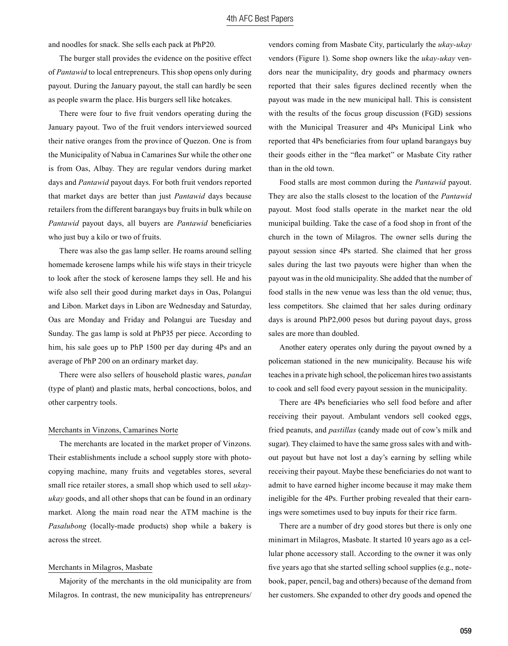and noodles for snack. She sells each pack at PhP20.

The burger stall provides the evidence on the positive effect of *Pantawid* to local entrepreneurs. This shop opens only during payout. During the January payout, the stall can hardly be seen as people swarm the place. His burgers sell like hotcakes.

There were four to five fruit vendors operating during the January payout. Two of the fruit vendors interviewed sourced their native oranges from the province of Quezon. One is from the Municipality of Nabua in Camarines Sur while the other one is from Oas, Albay. They are regular vendors during market days and *Pantawid* payout days. For both fruit vendors reported that market days are better than just *Pantawid* days because retailers from the different barangays buy fruits in bulk while on *Pantawid* payout days, all buyers are *Pantawid* beneficiaries who just buy a kilo or two of fruits.

There was also the gas lamp seller. He roams around selling homemade kerosene lamps while his wife stays in their tricycle to look after the stock of kerosene lamps they sell. He and his wife also sell their good during market days in Oas, Polangui and Libon. Market days in Libon are Wednesday and Saturday, Oas are Monday and Friday and Polangui are Tuesday and Sunday. The gas lamp is sold at PhP35 per piece. According to him, his sale goes up to PhP 1500 per day during 4Ps and an average of PhP 200 on an ordinary market day.

There were also sellers of household plastic wares, *pandan* (type of plant) and plastic mats, herbal concoctions, bolos, and other carpentry tools.

#### Merchants in Vinzons, Camarines Norte

The merchants are located in the market proper of Vinzons. Their establishments include a school supply store with photocopying machine, many fruits and vegetables stores, several small rice retailer stores, a small shop which used to sell *ukayukay* goods, and all other shops that can be found in an ordinary market. Along the main road near the ATM machine is the *Pasalubong* (locally-made products) shop while a bakery is across the street.

#### Merchants in Milagros, Masbate

Majority of the merchants in the old municipality are from Milagros. In contrast, the new municipality has entrepreneurs/ vendors coming from Masbate City, particularly the *ukay-ukay* vendors (Figure 1). Some shop owners like the *ukay-ukay* vendors near the municipality, dry goods and pharmacy owners reported that their sales figures declined recently when the payout was made in the new municipal hall. This is consistent with the results of the focus group discussion (FGD) sessions with the Municipal Treasurer and 4Ps Municipal Link who reported that 4Ps beneficiaries from four upland barangays buy their goods either in the "flea market" or Masbate City rather than in the old town.

Food stalls are most common during the *Pantawid* payout. They are also the stalls closest to the location of the *Pantawid*  payout. Most food stalls operate in the market near the old municipal building. Take the case of a food shop in front of the church in the town of Milagros. The owner sells during the payout session since 4Ps started. She claimed that her gross sales during the last two payouts were higher than when the payout was in the old municipality. She added that the number of food stalls in the new venue was less than the old venue; thus, less competitors. She claimed that her sales during ordinary days is around PhP2,000 pesos but during payout days, gross sales are more than doubled.

Another eatery operates only during the payout owned by a policeman stationed in the new municipality. Because his wife teaches in a private high school, the policeman hires two assistants to cook and sell food every payout session in the municipality.

There are 4Ps beneficiaries who sell food before and after receiving their payout. Ambulant vendors sell cooked eggs, fried peanuts, and *pastillas* (candy made out of cow's milk and sugar). They claimed to have the same gross sales with and without payout but have not lost a day's earning by selling while receiving their payout. Maybe these beneficiaries do not want to admit to have earned higher income because it may make them ineligible for the 4Ps. Further probing revealed that their earnings were sometimes used to buy inputs for their rice farm.

There are a number of dry good stores but there is only one minimart in Milagros, Masbate. It started 10 years ago as a cellular phone accessory stall. According to the owner it was only five years ago that she started selling school supplies (e.g., notebook, paper, pencil, bag and others) because of the demand from her customers. She expanded to other dry goods and opened the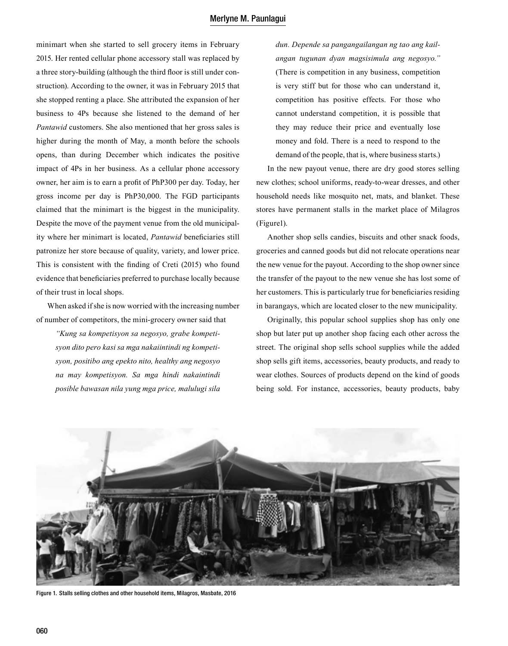minimart when she started to sell grocery items in February 2015. Her rented cellular phone accessory stall was replaced by a three story-building (although the third floor is still under construction). According to the owner, it was in February 2015 that she stopped renting a place. She attributed the expansion of her business to 4Ps because she listened to the demand of her *Pantawid* customers. She also mentioned that her gross sales is higher during the month of May, a month before the schools opens, than during December which indicates the positive impact of 4Ps in her business. As a cellular phone accessory owner, her aim is to earn a profit of PhP300 per day. Today, her gross income per day is PhP30,000. The FGD participants claimed that the minimart is the biggest in the municipality. Despite the move of the payment venue from the old municipality where her minimart is located, *Pantawid* beneficiaries still patronize her store because of quality, variety, and lower price. This is consistent with the finding of Creti (2015) who found evidence that beneficiaries preferred to purchase locally because of their trust in local shops.

When asked if she is now worried with the increasing number of number of competitors, the mini-grocery owner said that

*"Kung sa kompetisyon sa negosyo, grabe kompetisyon dito pero kasi sa mga nakaiintindi ng kompetisyon, positibo ang epekto nito, healthy ang negosyo na may kompetisyon. Sa mga hindi nakaintindi posible bawasan nila yung mga price, malulugi sila* 

*dun. Depende sa pangangailangan ng tao ang kailangan tugunan dyan magsisimula ang negosyo."* (There is competition in any business, competition is very stiff but for those who can understand it, competition has positive effects. For those who cannot understand competition, it is possible that they may reduce their price and eventually lose money and fold. There is a need to respond to the demand of the people, that is, where business starts.)

In the new payout venue, there are dry good stores selling new clothes; school uniforms, ready-to-wear dresses, and other household needs like mosquito net, mats, and blanket. These stores have permanent stalls in the market place of Milagros (Figure1).

Another shop sells candies, biscuits and other snack foods, groceries and canned goods but did not relocate operations near the new venue for the payout. According to the shop owner since the transfer of the payout to the new venue she has lost some of her customers. This is particularly true for beneficiaries residing in barangays, which are located closer to the new municipality.

Originally, this popular school supplies shop has only one shop but later put up another shop facing each other across the street. The original shop sells school supplies while the added shop sells gift items, accessories, beauty products, and ready to wear clothes. Sources of products depend on the kind of goods being sold. For instance, accessories, beauty products, baby



Figure 1. Stalls selling clothes and other household items, Milagros, Masbate, 2016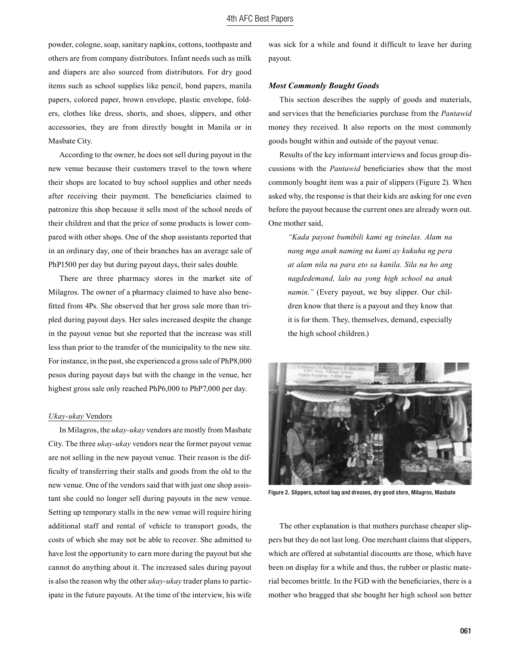powder, cologne, soap, sanitary napkins, cottons, toothpaste and others are from company distributors. Infant needs such as milk and diapers are also sourced from distributors. For dry good items such as school supplies like pencil, bond papers, manila papers, colored paper, brown envelope, plastic envelope, folders, clothes like dress, shorts, and shoes, slippers, and other accessories, they are from directly bought in Manila or in Masbate City.

According to the owner, he does not sell during payout in the new venue because their customers travel to the town where their shops are located to buy school supplies and other needs after receiving their payment. The beneficiaries claimed to patronize this shop because it sells most of the school needs of their children and that the price of some products is lower compared with other shops. One of the shop assistants reported that in an ordinary day, one of their branches has an average sale of PhP1500 per day but during payout days, their sales double.

There are three pharmacy stores in the market site of Milagros. The owner of a pharmacy claimed to have also benefitted from 4Ps. She observed that her gross sale more than tripled during payout days. Her sales increased despite the change in the payout venue but she reported that the increase was still less than prior to the transfer of the municipality to the new site. For instance, in the past, she experienced a gross sale of PhP8,000 pesos during payout days but with the change in the venue, her highest gross sale only reached PhP6,000 to PhP7,000 per day.

#### *Ukay-ukay* Vendors

In Milagros, the *ukay-ukay* vendors are mostly from Masbate City. The three *ukay-ukay* vendors near the former payout venue are not selling in the new payout venue. Their reason is the difficulty of transferring their stalls and goods from the old to the new venue. One of the vendors said that with just one shop assistant she could no longer sell during payouts in the new venue. Setting up temporary stalls in the new venue will require hiring additional staff and rental of vehicle to transport goods, the costs of which she may not be able to recover. She admitted to have lost the opportunity to earn more during the payout but she cannot do anything about it. The increased sales during payout is also the reason why the other *ukay-ukay* trader plans to participate in the future payouts. At the time of the interview, his wife was sick for a while and found it difficult to leave her during payout.

#### *Most Commonly Bought Goods*

This section describes the supply of goods and materials, and services that the beneficiaries purchase from the *Pantawid*  money they received. It also reports on the most commonly goods bought within and outside of the payout venue.

Results of the key informant interviews and focus group discussions with the *Pantawid* beneficiaries show that the most commonly bought item was a pair of slippers (Figure 2). When asked why, the response is that their kids are asking for one even before the payout because the current ones are already worn out. One mother said,

*"Kada payout bumibili kami ng tsinelas. Alam na nang mga anak naming na kami ay kukuha ng pera at alam nila na para eto sa kanila. Sila na ho ang nagdedemand, lalo na yong high school na anak namin."* (Every payout, we buy slipper. Our children know that there is a payout and they know that it is for them. They, themselves, demand, especially the high school children.)



Figure 2. Slippers, school bag and dresses, dry good store, Milagros, Masbate

The other explanation is that mothers purchase cheaper slippers but they do not last long. One merchant claims that slippers, which are offered at substantial discounts are those, which have been on display for a while and thus, the rubber or plastic material becomes brittle. In the FGD with the beneficiaries, there is a mother who bragged that she bought her high school son better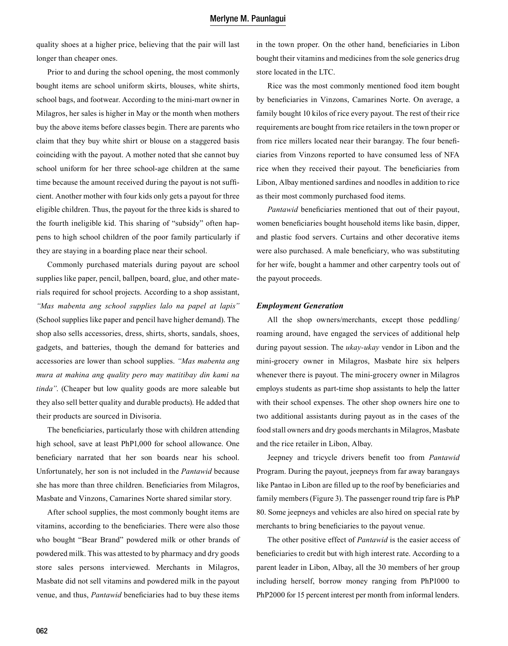quality shoes at a higher price, believing that the pair will last longer than cheaper ones.

Prior to and during the school opening, the most commonly bought items are school uniform skirts, blouses, white shirts, school bags, and footwear. According to the mini-mart owner in Milagros, her sales is higher in May or the month when mothers buy the above items before classes begin. There are parents who claim that they buy white shirt or blouse on a staggered basis coinciding with the payout. A mother noted that she cannot buy school uniform for her three school-age children at the same time because the amount received during the payout is not sufficient. Another mother with four kids only gets a payout for three eligible children. Thus, the payout for the three kids is shared to the fourth ineligible kid. This sharing of "subsidy" often happens to high school children of the poor family particularly if they are staying in a boarding place near their school.

Commonly purchased materials during payout are school supplies like paper, pencil, ballpen, board, glue, and other materials required for school projects. According to a shop assistant, *"Mas mabenta ang school supplies lalo na papel at lapis"* (School supplies like paper and pencil have higher demand). The shop also sells accessories, dress, shirts, shorts, sandals, shoes, gadgets, and batteries, though the demand for batteries and accessories are lower than school supplies. *"Mas mabenta ang mura at mahina ang quality pero may matitibay din kami na tinda"*. (Cheaper but low quality goods are more saleable but they also sell better quality and durable products). He added that their products are sourced in Divisoria.

The beneficiaries, particularly those with children attending high school, save at least PhP1,000 for school allowance. One beneficiary narrated that her son boards near his school. Unfortunately, her son is not included in the *Pantawid* because she has more than three children. Beneficiaries from Milagros, Masbate and Vinzons, Camarines Norte shared similar story.

After school supplies, the most commonly bought items are vitamins, according to the beneficiaries. There were also those who bought "Bear Brand" powdered milk or other brands of powdered milk. This was attested to by pharmacy and dry goods store sales persons interviewed. Merchants in Milagros, Masbate did not sell vitamins and powdered milk in the payout venue, and thus, *Pantawid* beneficiaries had to buy these items in the town proper. On the other hand, beneficiaries in Libon bought their vitamins and medicines from the sole generics drug store located in the LTC.

Rice was the most commonly mentioned food item bought by beneficiaries in Vinzons, Camarines Norte. On average, a family bought 10 kilos of rice every payout. The rest of their rice requirements are bought from rice retailers in the town proper or from rice millers located near their barangay. The four beneficiaries from Vinzons reported to have consumed less of NFA rice when they received their payout. The beneficiaries from Libon, Albay mentioned sardines and noodles in addition to rice as their most commonly purchased food items.

*Pantawid* beneficiaries mentioned that out of their payout, women beneficiaries bought household items like basin, dipper, and plastic food servers. Curtains and other decorative items were also purchased. A male beneficiary, who was substituting for her wife, bought a hammer and other carpentry tools out of the payout proceeds.

#### *Employment Generation*

All the shop owners/merchants, except those peddling/ roaming around, have engaged the services of additional help during payout session. The *ukay-ukay* vendor in Libon and the mini-grocery owner in Milagros, Masbate hire six helpers whenever there is payout. The mini-grocery owner in Milagros employs students as part-time shop assistants to help the latter with their school expenses. The other shop owners hire one to two additional assistants during payout as in the cases of the food stall owners and dry goods merchants in Milagros, Masbate and the rice retailer in Libon, Albay.

Jeepney and tricycle drivers benefit too from *Pantawid*  Program. During the payout, jeepneys from far away barangays like Pantao in Libon are filled up to the roof by beneficiaries and family members (Figure 3). The passenger round trip fare is PhP 80. Some jeepneys and vehicles are also hired on special rate by merchants to bring beneficiaries to the payout venue.

The other positive effect of *Pantawid* is the easier access of beneficiaries to credit but with high interest rate. According to a parent leader in Libon, Albay, all the 30 members of her group including herself, borrow money ranging from PhP1000 to PhP2000 for 15 percent interest per month from informal lenders.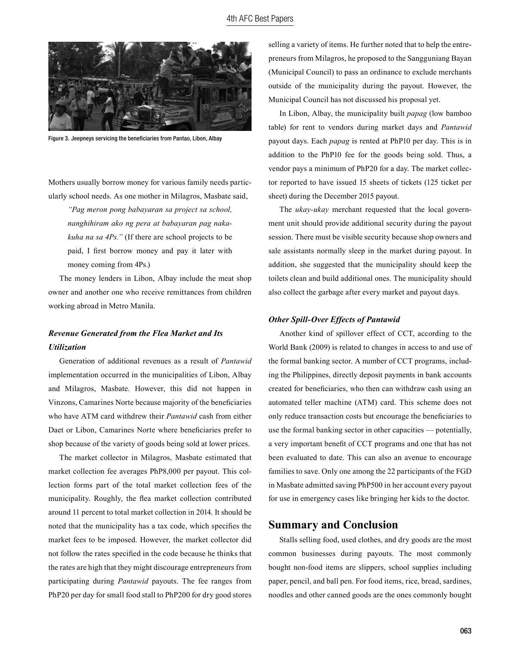

Figure 3. Jeepneys servicing the beneficiaries from Pantao, Libon, Albay

Mothers usually borrow money for various family needs particularly school needs. As one mother in Milagros, Masbate said,

*"Pag meron pong babayaran sa project sa school, nanghihiram ako ng pera at babayaran pag nakakuha na sa 4Ps."* (If there are school projects to be paid, I first borrow money and pay it later with money coming from 4Ps.)

The money lenders in Libon, Albay include the meat shop owner and another one who receive remittances from children working abroad in Metro Manila.

# *Revenue Generated from the Flea Market and Its Utilization*

Generation of additional revenues as a result of *Pantawid*  implementation occurred in the municipalities of Libon, Albay and Milagros, Masbate. However, this did not happen in Vinzons, Camarines Norte because majority of the beneficiaries who have ATM card withdrew their *Pantawid* cash from either Daet or Libon, Camarines Norte where beneficiaries prefer to shop because of the variety of goods being sold at lower prices.

The market collector in Milagros, Masbate estimated that market collection fee averages PhP8,000 per payout. This collection forms part of the total market collection fees of the municipality. Roughly, the flea market collection contributed around 11 percent to total market collection in 2014. It should be noted that the municipality has a tax code, which specifies the market fees to be imposed. However, the market collector did not follow the rates specified in the code because he thinks that the rates are high that they might discourage entrepreneurs from participating during *Pantawid* payouts. The fee ranges from PhP20 per day for small food stall to PhP200 for dry good stores selling a variety of items. He further noted that to help the entrepreneurs from Milagros, he proposed to the Sangguniang Bayan (Municipal Council) to pass an ordinance to exclude merchants outside of the municipality during the payout. However, the Municipal Council has not discussed his proposal yet.

In Libon, Albay, the municipality built *papag* (low bamboo table) for rent to vendors during market days and *Pantawid*  payout days. Each *papag* is rented at PhP10 per day. This is in addition to the PhP10 fee for the goods being sold. Thus, a vendor pays a minimum of PhP20 for a day. The market collector reported to have issued 15 sheets of tickets (125 ticket per sheet) during the December 2015 payout.

The *ukay-ukay* merchant requested that the local government unit should provide additional security during the payout session. There must be visible security because shop owners and sale assistants normally sleep in the market during payout. In addition, she suggested that the municipality should keep the toilets clean and build additional ones. The municipality should also collect the garbage after every market and payout days.

#### *Other Spill-Over Effects of Pantawid*

Another kind of spillover effect of CCT, according to the World Bank (2009) is related to changes in access to and use of the formal banking sector. A number of CCT programs, including the Philippines, directly deposit payments in bank accounts created for beneficiaries, who then can withdraw cash using an automated teller machine (ATM) card. This scheme does not only reduce transaction costs but encourage the beneficiaries to use the formal banking sector in other capacities — potentially, a very important benefit of CCT programs and one that has not been evaluated to date. This can also an avenue to encourage families to save. Only one among the 22 participants of the FGD in Masbate admitted saving PhP500 in her account every payout for use in emergency cases like bringing her kids to the doctor.

## **Summary and Conclusion**

Stalls selling food, used clothes, and dry goods are the most common businesses during payouts. The most commonly bought non-food items are slippers, school supplies including paper, pencil, and ball pen. For food items, rice, bread, sardines, noodles and other canned goods are the ones commonly bought